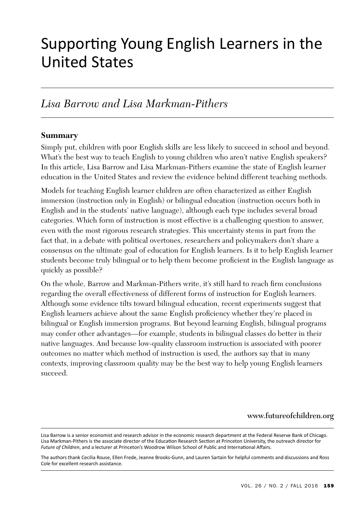# Supporting Young English Learners in the United States

# *Lisa Barrow and Lisa Markman-Pithers*

### **Summary**

Simply put, children with poor English skills are less likely to succeed in school and beyond. What's the best way to teach English to young children who aren't native English speakers? In this article, Lisa Barrow and Lisa Markman-Pithers examine the state of English learner education in the United States and review the evidence behind different teaching methods.

Models for teaching English learner children are often characterized as either English immersion (instruction only in English) or bilingual education (instruction occurs both in English and in the students' native language), although each type includes several broad categories. Which form of instruction is most effective is a challenging question to answer, even with the most rigorous research strategies. This uncertainty stems in part from the fact that, in a debate with political overtones, researchers and policymakers don't share a consensus on the ultimate goal of education for English learners. Is it to help English learner students become truly bilingual or to help them become proficient in the English language as quickly as possible?

On the whole, Barrow and Markman-Pithers write, it's still hard to reach firm conclusions regarding the overall effectiveness of different forms of instruction for English learners. Although some evidence tilts toward bilingual education, recent experiments suggest that English learners achieve about the same English proficiency whether they're placed in bilingual or English immersion programs. But beyond learning English, bilingual programs may confer other advantages—for example, students in bilingual classes do better in their native languages. And because low-quality classroom instruction is associated with poorer outcomes no matter which method of instruction is used, the authors say that in many contexts, improving classroom quality may be the best way to help young English learners succeed.

### **www.futureofchildren.org**

Lisa Barrow is a senior economist and research advisor in the economic research department at the Federal Reserve Bank of Chicago. Lisa Markman-Pithers is the associate director of the Education Research Section at Princeton University, the outreach director for *Future of Children*, and a lecturer at Princeton's Woodrow Wilson School of Public and International Affairs.

The authors thank Cecilia Rouse, Ellen Frede, Jeanne Brooks-Gunn, and Lauren Sartain for helpful comments and discussions and Ross Cole for excellent research assistance.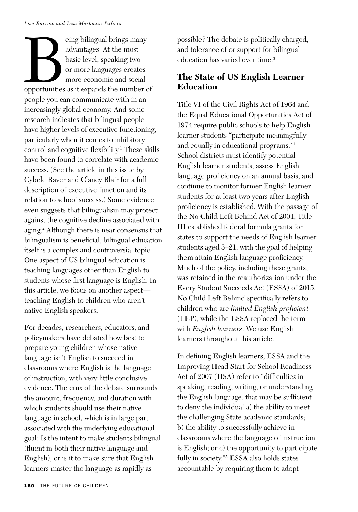eing bilingual brings many<br>
advantages. At the most<br>
basic level, speaking two<br>
or more languages creates<br>
more economic and social<br>
opportunities as it expands the number of advantages. At the most basic level, speaking two or more languages creates more economic and social people you can communicate with in an increasingly global economy. And some research indicates that bilingual people have higher levels of executive functioning, particularly when it comes to inhibitory control and cognitive flexibility.1 These skills have been found to correlate with academic success. (See the article in this issue by Cybele Raver and Clancy Blair for a full description of executive function and its relation to school success.) Some evidence even suggests that bilingualism may protect against the cognitive decline associated with aging.2 Although there is near consensus that bilingualism is beneficial, bilingual education itself is a complex and controversial topic. One aspect of US bilingual education is teaching languages other than English to students whose first language is English. In this article, we focus on another aspect teaching English to children who aren't native English speakers.

For decades, researchers, educators, and policymakers have debated how best to prepare young children whose native language isn't English to succeed in classrooms where English is the language of instruction, with very little conclusive evidence. The crux of the debate surrounds the amount, frequency, and duration with which students should use their native language in school, which is in large part associated with the underlying educational goal: Is the intent to make students bilingual (fluent in both their native language and English), or is it to make sure that English learners master the language as rapidly as

possible? The debate is politically charged, and tolerance of or support for bilingual education has varied over time.<sup>3</sup>

# **The State of US English Learner Education**

Title VI of the Civil Rights Act of 1964 and the Equal Educational Opportunities Act of 1974 require public schools to help English learner students "participate meaningfully and equally in educational programs."4 School districts must identify potential English learner students, assess English language proficiency on an annual basis, and continue to monitor former English learner students for at least two years after English proficiency is established. With the passage of the No Child Left Behind Act of 2001, Title III established federal formula grants for states to support the needs of English learner students aged 3–21, with the goal of helping them attain English language proficiency. Much of the policy, including these grants, was retained in the reauthorization under the Every Student Succeeds Act (ESSA) of 2015. No Child Left Behind specifically refers to children who are *limited English proficient* (LEP), while the ESSA replaced the term with *English learners*. We use English learners throughout this article.

In defining English learners, ESSA and the Improving Head Start for School Readiness Act of 2007 (HSA) refer to "difficulties in speaking, reading, writing, or understanding the English language, that may be sufficient to deny the individual a) the ability to meet the challenging State academic standards; b) the ability to successfully achieve in classrooms where the language of instruction is English; or c) the opportunity to participate fully in society."5 ESSA also holds states accountable by requiring them to adopt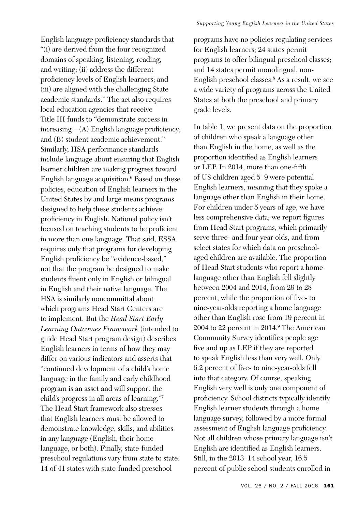English language proficiency standards that "(i) are derived from the four recognized domains of speaking, listening, reading, and writing; (ii) address the different proficiency levels of English learners; and (iii) are aligned with the challenging State academic standards." The act also requires local education agencies that receive Title III funds to "demonstrate success in increasing—(A) English language proficiency; and (B) student academic achievement." Similarly, HSA performance standards include language about ensuring that English learner children are making progress toward English language acquisition.<sup>6</sup> Based on these policies, education of English learners in the United States by and large means programs designed to help these students achieve proficiency in English. National policy isn't focused on teaching students to be proficient in more than one language. That said, ESSA requires only that programs for developing English proficiency be "evidence-based," not that the program be designed to make students fluent only in English or bilingual in English and their native language. The HSA is similarly noncommittal about which programs Head Start Centers are to implement. But the *Head Start Early Learning Outcomes Framework* (intended to guide Head Start program design) describes English learners in terms of how they may differ on various indicators and asserts that "continued development of a child's home language in the family and early childhood program is an asset and will support the child's progress in all areas of learning."7 The Head Start framework also stresses that English learners must be allowed to demonstrate knowledge, skills, and abilities in any language (English, their home language, or both). Finally, state-funded preschool regulations vary from state to state: 14 of 41 states with state-funded preschool

programs have no policies regulating services for English learners; 24 states permit programs to offer bilingual preschool classes; and 14 states permit monolingual, non-English preschool classes.8 As a result, we see a wide variety of programs across the United States at both the preschool and primary grade levels.

In table 1, we present data on the proportion of children who speak a language other than English in the home, as well as the proportion identified as English learners or LEP. In 2014, more than one-fifth of US children aged 5–9 were potential English learners, meaning that they spoke a language other than English in their home. For children under 5 years of age, we have less comprehensive data; we report figures from Head Start programs, which primarily serve three- and four-year-olds, and from select states for which data on preschoolaged children are available. The proportion of Head Start students who report a home language other than English fell slightly between 2004 and 2014, from 29 to 28 percent, while the proportion of five- to nine-year-olds reporting a home language other than English rose from 19 percent in 2004 to 22 percent in 2014.<sup>9</sup> The American Community Survey identifies people age five and up as LEP if they are reported to speak English less than very well. Only 6.2 percent of five- to nine-year-olds fell into that category. Of course, speaking English very well is only one component of proficiency. School districts typically identify English learner students through a home language survey, followed by a more formal assessment of English language proficiency. Not all children whose primary language isn't English are identified as English learners. Still, in the 2013–14 school year, 16.5 percent of public school students enrolled in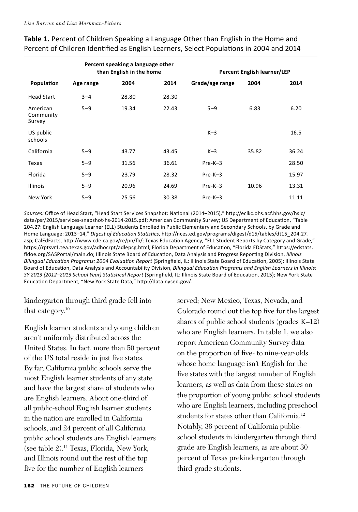|                                 | Percent speaking a language other<br>than English in the home |       |       | Percent English learner/LEP |       |       |
|---------------------------------|---------------------------------------------------------------|-------|-------|-----------------------------|-------|-------|
| Population                      | Age range                                                     | 2004  | 2014  | Grade/age range             | 2004  | 2014  |
| <b>Head Start</b>               | $3 - 4$                                                       | 28.80 | 28.30 |                             |       |       |
| American<br>Community<br>Survey | $5 - 9$                                                       | 19.34 | 22.43 | $5 - 9$                     | 6.83  | 6.20  |
| US public<br>schools            |                                                               |       |       | $K-3$                       |       | 16.5  |
| California                      | $5 - 9$                                                       | 43.77 | 43.45 | $K-3$                       | 35.82 | 36.24 |
| Texas                           | $5 - 9$                                                       | 31.56 | 36.61 | $Pre-K-3$                   |       | 28.50 |
| Florida                         | $5 - 9$                                                       | 23.79 | 28.32 | $Pre-K-3$                   |       | 15.97 |
| <b>Illinois</b>                 | $5 - 9$                                                       | 20.96 | 24.69 | $Pre-K-3$                   | 10.96 | 13.31 |
| New York                        | $5 - 9$                                                       | 25.56 | 30.38 | $Pre-K-3$                   |       | 11.11 |

**Table 1.** Percent of Children Speaking a Language Other than English in the Home and Percent of Children Identified as English Learners, Select Populations in 2004 and 2014

*Sources:* Office of Head Start, "Head Start Services Snapshot: National (2014–2015)," http://eclkc.ohs.acf.hhs.gov/hslc/ data/psr/2015/services-snapshot-hs-2014-2015.pdf; American Community Survey; US Department of Education, "Table 204.27: English Language Learner (ELL) Students Enrolled in Public Elementary and Secondary Schools, by Grade and Home Language: 2013–14," *Digest of Education Statistics*, http://nces.ed.gov/programs/digest/d15/tables/dt15\_204.27. asp; CalEdFacts, http://www.cde.ca.gov/re/pn/fb/; Texas Education Agency, "ELL Student Reports by Category and Grade," https://rptsvr1.tea.texas.gov/adhocrpt/adlepcg.html; Florida Department of Education, "Florida EDStats," https://edstats. fldoe.org/SASPortal/main.do; Illinois State Board of Education, Data Analysis and Progress Reporting Division, *Illinois Bilingual Education Programs: 2004 Evaluation Report* (Springfield, IL: Illinois State Board of Education, 2005); Illinois State Board of Education, Data Analysis and Accountability Division, *Bilingual Education Programs and English Learners in Illinois: SY 2013 (2012–2013 School Year) Statistical Report* (Springfield, IL: Illinois State Board of Education, 2015); New York State Education Department, "New York State Data," http://data.nysed.gov/.

kindergarten through third grade fell into that category.10

English learner students and young children aren't uniformly distributed across the United States. In fact, more than 50 percent of the US total reside in just five states. By far, California public schools serve the most English learner students of any state and have the largest share of students who are English learners. About one-third of all public-school English learner students in the nation are enrolled in California schools, and 24 percent of all California public school students are English learners (see table 2).11 Texas, Florida, New York, and Illinois round out the rest of the top five for the number of English learners

served; New Mexico, Texas, Nevada, and Colorado round out the top five for the largest shares of public school students (grades K–12) who are English learners. In table 1, we also report American Community Survey data on the proportion of five- to nine-year-olds whose home language isn't English for the five states with the largest number of English learners, as well as data from these states on the proportion of young public school students who are English learners, including preschool students for states other than California.<sup>12</sup> Notably, 36 percent of California publicschool students in kindergarten through third grade are English learners, as are about 30 percent of Texas prekindergarten through third-grade students.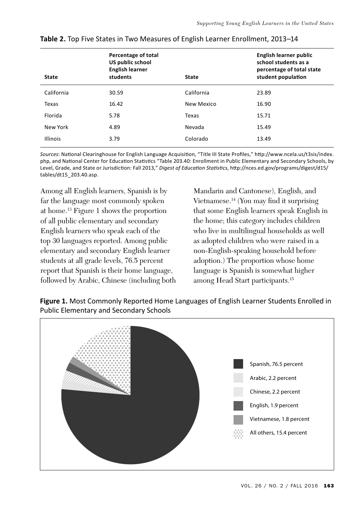| <b>State</b>    | Percentage of total<br>US public school<br><b>English learner</b><br>students | <b>State</b> | English learner public<br>school students as a<br>percentage of total state<br>student population |
|-----------------|-------------------------------------------------------------------------------|--------------|---------------------------------------------------------------------------------------------------|
| California      | 30.59                                                                         | California   | 23.89                                                                                             |
| Texas           | 16.42                                                                         | New Mexico   | 16.90                                                                                             |
| Florida         | 5.78                                                                          | Texas        | 15.71                                                                                             |
| New York        | 4.89                                                                          | Nevada       | 15.49                                                                                             |
| <b>Illinois</b> | 3.79                                                                          | Colorado     | 13.49                                                                                             |

#### **Table 2.** Top Five States in Two Measures of English Learner Enrollment, 2013–14

—<br>*Sources*: National Clearinghouse for English Language Acquisition, "Title III State Profiles," http://www.ncela.us/t3sis/index. php, and National Center for Education Statistics "Table 203.40: Enrollment in Public Elementary and Secondary Schools, by Level, Grade, and State or Jurisdiction: Fall 2013," *Digest of Education Statistics*, http://nces.ed.gov/programs/digest/d15/ Vietnamese, 1.8 percent tables/dt15\_203.40.asp.

Among all English learners, Spanish is by far the language most commonly spoken at home.13 Figure 1 shows the proportion of all public elementary and secondary English learners who speak each of the top 30 languages reported. Among public elementary and secondary English learner students at all grade levels, 76.5 percent report that Spanish is their home language, followed by Arabic, Chinese (including both among Head Start participants.<sup>15</sup>

Mandarin and Cantonese), English, and Vietnamese.<sup>14</sup> (You may find it surprising that some English learners speak English in the home; this category includes children who live in multilingual households as well as adopted children who were raised in a non-English-speaking household before adoption.) The proportion whose home language is Spanish is somewhat higher among Head Start participants.15



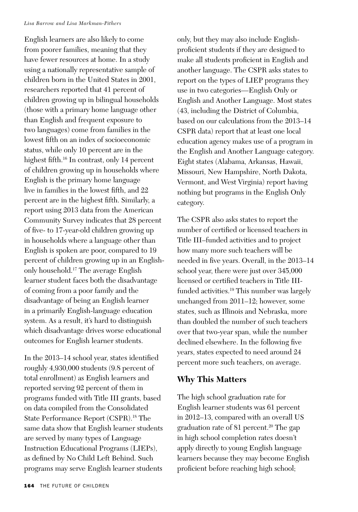English learners are also likely to come from poorer families, meaning that they have fewer resources at home. In a study using a nationally representative sample of children born in the United States in 2001, researchers reported that 41 percent of children growing up in bilingual households (those with a primary home language other than English and frequent exposure to two languages) come from families in the lowest fifth on an index of socioeconomic status, while only 10 percent are in the highest fifth.<sup>16</sup> In contrast, only 14 percent of children growing up in households where English is the primary home language live in families in the lowest fifth, and 22 percent are in the highest fifth. Similarly, a report using 2013 data from the American Community Survey indicates that 28 percent of five- to 17-year-old children growing up in households where a language other than English is spoken are poor, compared to 19 percent of children growing up in an Englishonly household.17 The average English learner student faces both the disadvantage of coming from a poor family and the disadvantage of being an English learner in a primarily English-language education system. As a result, it's hard to distinguish which disadvantage drives worse educational outcomes for English learner students.

In the 2013–14 school year, states identified roughly 4,930,000 students (9.8 percent of total enrollment) as English learners and reported serving 92 percent of them in programs funded with Title III grants, based on data compiled from the Consolidated State Performance Report (CSPR).18 The same data show that English learner students are served by many types of Language Instruction Educational Programs (LIEPs), as defined by No Child Left Behind. Such programs may serve English learner students

only, but they may also include Englishproficient students if they are designed to make all students proficient in English and another language. The CSPR asks states to report on the types of LIEP programs they use in two categories—English Only or English and Another Language. Most states (43, including the District of Columbia, based on our calculations from the 2013–14 CSPR data) report that at least one local education agency makes use of a program in the English and Another Language category. Eight states (Alabama, Arkansas, Hawaii, Missouri, New Hampshire, North Dakota, Vermont, and West Virginia) report having nothing but programs in the English Only category.

The CSPR also asks states to report the number of certified or licensed teachers in Title III–funded activities and to project how many more such teachers will be needed in five years. Overall, in the 2013–14 school year, there were just over 345,000 licensed or certified teachers in Title IIIfunded activities.<sup>19</sup> This number was largely unchanged from 2011–12; however, some states, such as Illinois and Nebraska, more than doubled the number of such teachers over that two-year span, while the number declined elsewhere. In the following five years, states expected to need around 24 percent more such teachers, on average.

## **Why This Matters**

The high school graduation rate for English learner students was 61 percent in 2012–13, compared with an overall US graduation rate of 81 percent.<sup>20</sup> The gap in high school completion rates doesn't apply directly to young English language learners because they may become English proficient before reaching high school;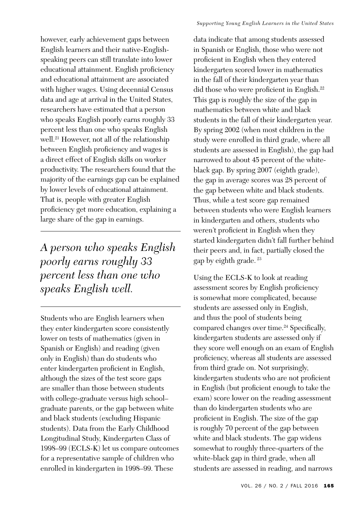however, early achievement gaps between English learners and their native-Englishspeaking peers can still translate into lower educational attainment. English proficiency and educational attainment are associated with higher wages. Using decennial Census data and age at arrival in the United States, researchers have estimated that a person who speaks English poorly earns roughly 33 percent less than one who speaks English well.21 However, not all of the relationship between English proficiency and wages is a direct effect of English skills on worker productivity. The researchers found that the majority of the earnings gap can be explained by lower levels of educational attainment. That is, people with greater English proficiency get more education, explaining a large share of the gap in earnings.

*A person who speaks English poorly earns roughly 33 percent less than one who speaks English well.*

Students who are English learners when they enter kindergarten score consistently lower on tests of mathematics (given in Spanish or English) and reading (given only in English) than do students who enter kindergarten proficient in English, although the sizes of the test score gaps are smaller than those between students with college-graduate versus high school– graduate parents, or the gap between white and black students (excluding Hispanic students). Data from the Early Childhood Longitudinal Study, Kindergarten Class of 1998–99 (ECLS-K) let us compare outcomes for a representative sample of children who enrolled in kindergarten in 1998–99. These

data indicate that among students assessed in Spanish or English, those who were not proficient in English when they entered kindergarten scored lower in mathematics in the fall of their kindergarten year than did those who were proficient in English.<sup>22</sup> This gap is roughly the size of the gap in mathematics between white and black students in the fall of their kindergarten year. By spring 2002 (when most children in the study were enrolled in third grade, where all students are assessed in English), the gap had narrowed to about 45 percent of the whiteblack gap. By spring 2007 (eighth grade), the gap in average scores was 28 percent of the gap between white and black students. Thus, while a test score gap remained between students who were English learners in kindergarten and others, students who weren't proficient in English when they started kindergarten didn't fall further behind their peers and, in fact, partially closed the gap by eighth grade. 23

Using the ECLS-K to look at reading assessment scores by English proficiency is somewhat more complicated, because students are assessed only in English, and thus the pool of students being compared changes over time.<sup>24</sup> Specifically, kindergarten students are assessed only if they score well enough on an exam of English proficiency, whereas all students are assessed from third grade on. Not surprisingly, kindergarten students who are not proficient in English (but proficient enough to take the exam) score lower on the reading assessment than do kindergarten students who are proficient in English. The size of the gap is roughly 70 percent of the gap between white and black students. The gap widens somewhat to roughly three-quarters of the white-black gap in third grade, when all students are assessed in reading, and narrows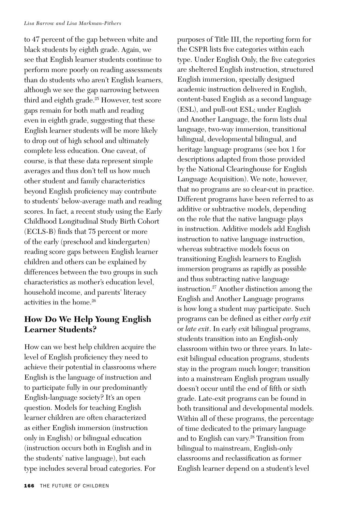to 47 percent of the gap between white and black students by eighth grade. Again, we see that English learner students continue to perform more poorly on reading assessments than do students who aren't English learners, although we see the gap narrowing between third and eighth grade.<sup>25</sup> However, test score gaps remain for both math and reading even in eighth grade, suggesting that these English learner students will be more likely to drop out of high school and ultimately complete less education. One caveat, of course, is that these data represent simple averages and thus don't tell us how much other student and family characteristics beyond English proficiency may contribute to students' below-average math and reading scores. In fact, a recent study using the Early Childhood Longitudinal Study Birth Cohort (ECLS-B) finds that 75 percent or more of the early (preschool and kindergarten) reading score gaps between English learner children and others can be explained by differences between the two groups in such characteristics as mother's education level, household income, and parents' literacy activities in the home.26

# **How Do We Help Young English Learner Students?**

How can we best help children acquire the level of English proficiency they need to achieve their potential in classrooms where English is the language of instruction and to participate fully in our predominantly English-language society? It's an open question. Models for teaching English learner children are often characterized as either English immersion (instruction only in English) or bilingual education (instruction occurs both in English and in the students' native language), but each type includes several broad categories. For

purposes of Title III, the reporting form for the CSPR lists five categories within each type. Under English Only, the five categories are sheltered English instruction, structured English immersion, specially designed academic instruction delivered in English, content-based English as a second language (ESL), and pull-out ESL; under English and Another Language, the form lists dual language, two-way immersion, transitional bilingual, developmental bilingual, and heritage language programs (see box 1 for descriptions adapted from those provided by the National Clearinghouse for English Language Acquisition). We note, however, that no programs are so clear-cut in practice. Different programs have been referred to as additive or subtractive models, depending on the role that the native language plays in instruction. Additive models add English instruction to native language instruction, whereas subtractive models focus on transitioning English learners to English immersion programs as rapidly as possible and thus subtracting native language instruction.27 Another distinction among the English and Another Language programs is how long a student may participate. Such programs can be defined as either *early exit* or *late exit*. In early exit bilingual programs, students transition into an English-only classroom within two or three years. In lateexit bilingual education programs, students stay in the program much longer; transition into a mainstream English program usually doesn't occur until the end of fifth or sixth grade. Late-exit programs can be found in both transitional and developmental models. Within all of these programs, the percentage of time dedicated to the primary language and to English can vary.28 Transition from bilingual to mainstream, English-only classrooms and reclassification as former English learner depend on a student's level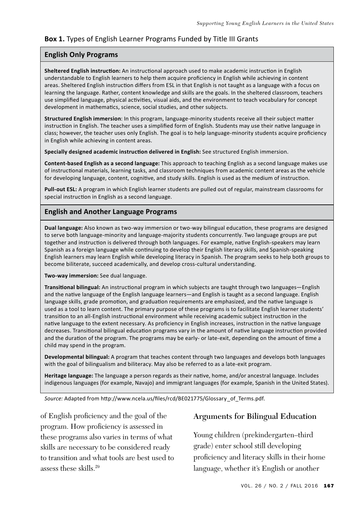### **Box 1.** Types of English Learner Programs Funded by Title III Grants

#### **English Only Programs**

**Sheltered English instruction:** An instructional approach used to make academic instruction in English understandable to English learners to help them acquire proficiency in English while achieving in content areas. Sheltered English instruction differs from ESL in that English is not taught as a language with a focus on learning the language. Rather, content knowledge and skills are the goals. In the sheltered classroom, teachers use simplified language, physical activities, visual aids, and the environment to teach vocabulary for concept development in mathematics, science, social studies, and other subjects.

**Structured English immersion**: In this program, language-minority students receive all their subject matter instruction in English. The teacher uses a simplified form of English. Students may use their native language in class; however, the teacher uses only English. The goal is to help language-minority students acquire proficiency in English while achieving in content areas.

**Specially designed academic instruction delivered in English:** See structured English immersion.

**Content-based English as a second language:** This approach to teaching English as a second language makes use of instructional materials, learning tasks, and classroom techniques from academic content areas as the vehicle for developing language, content, cognitive, and study skills. English is used as the medium of instruction.

**Pull-out ESL:** A program in which English learner students are pulled out of regular, mainstream classrooms for special instruction in English as a second language.

#### **English and Another Language Programs**

**Dual language:** Also known as two-way immersion or two-way bilingual education, these programs are designed to serve both language-minority and language-majority students concurrently. Two language groups are put together and instruction is delivered through both languages. For example, native English-speakers may learn Spanish as a foreign language while continuing to develop their English literacy skills, and Spanish-speaking English learners may learn English while developing literacy in Spanish. The program seeks to help both groups to become biliterate, succeed academically, and develop cross-cultural understanding.

**Two-way immersion:** See dual language.

**Transitional bilingual:** An instructional program in which subjects are taught through two languages—English and the native language of the English language learners—and English is taught as a second language. English language skills, grade promotion, and graduation requirements are emphasized, and the native language is used as a tool to learn content. The primary purpose of these programs is to facilitate English learner students' transition to an all-English instructional environment while receiving academic subject instruction in the native language to the extent necessary. As proficiency in English increases, instruction in the native language decreases. Transitional bilingual education programs vary in the amount of native language instruction provided and the duration of the program. The programs may be early- or late-exit, depending on the amount of time a child may spend in the program.

**Developmental bilingual:** A program that teaches content through two languages and develops both languages with the goal of bilingualism and biliteracy. May also be referred to as a late-exit program.

**Heritage language:** The language a person regards as their native, home, and/or ancestral language. Includes indigenous languages (for example, Navajo) and immigrant languages (for example, Spanish in the United States).

*Source:* Adapted from http://www.ncela.us/files/rcd/BE021775/Glossary\_of\_Terms.pdf.

of English proficiency and the goal of the program. How proficiency is assessed in these programs also varies in terms of what skills are necessary to be considered ready to transition and what tools are best used to assess these skills.29

### **Arguments for Bilingual Education**

Young children (prekindergarten–third grade) enter school still developing proficiency and literacy skills in their home language, whether it's English or another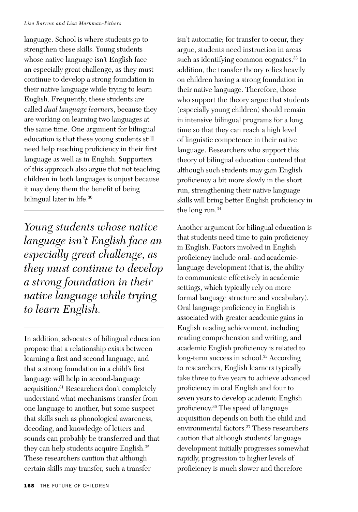language. School is where students go to strengthen these skills. Young students whose native language isn't English face an especially great challenge, as they must continue to develop a strong foundation in their native language while trying to learn English. Frequently, these students are called *dual language learners*, because they are working on learning two languages at the same time. One argument for bilingual education is that these young students still need help reaching proficiency in their first language as well as in English. Supporters of this approach also argue that not teaching children in both languages is unjust because it may deny them the benefit of being bilingual later in life.<sup>30</sup>

*Young students whose native language isn't English face an especially great challenge, as they must continue to develop a strong foundation in their native language while trying to learn English.*

In addition, advocates of bilingual education propose that a relationship exists between learning a first and second language, and that a strong foundation in a child's first language will help in second-language acquisition.31 Researchers don't completely understand what mechanisms transfer from one language to another, but some suspect that skills such as phonological awareness, decoding, and knowledge of letters and sounds can probably be transferred and that they can help students acquire English.<sup>32</sup> These researchers caution that although certain skills may transfer, such a transfer

isn't automatic; for transfer to occur, they argue, students need instruction in areas such as identifying common cognates.<sup>33</sup> In addition, the transfer theory relies heavily on children having a strong foundation in their native language. Therefore, those who support the theory argue that students (especially young children) should remain in intensive bilingual programs for a long time so that they can reach a high level of linguistic competence in their native language. Researchers who support this theory of bilingual education contend that although such students may gain English proficiency a bit more slowly in the short run, strengthening their native language skills will bring better English proficiency in the long run.<sup>34</sup>

Another argument for bilingual education is that students need time to gain proficiency in English. Factors involved in English proficiency include oral- and academiclanguage development (that is, the ability to communicate effectively in academic settings, which typically rely on more formal language structure and vocabulary). Oral language proficiency in English is associated with greater academic gains in English reading achievement, including reading comprehension and writing, and academic English proficiency is related to long-term success in school.35 According to researchers, English learners typically take three to five years to achieve advanced proficiency in oral English and four to seven years to develop academic English proficiency.36 The speed of language acquisition depends on both the child and environmental factors.37 These researchers caution that although students' language development initially progresses somewhat rapidly, progression to higher levels of proficiency is much slower and therefore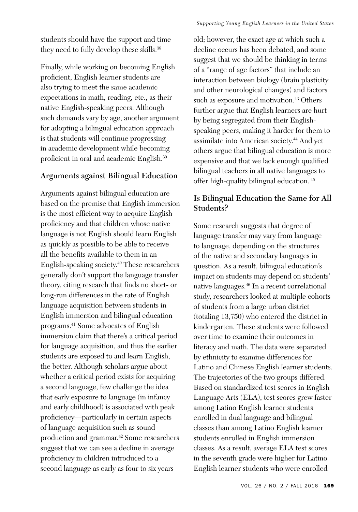students should have the support and time they need to fully develop these skills.<sup>38</sup>

Finally, while working on becoming English proficient, English learner students are also trying to meet the same academic expectations in math, reading, etc., as their native English-speaking peers. Although such demands vary by age, another argument for adopting a bilingual education approach is that students will continue progressing in academic development while becoming proficient in oral and academic English.39

### **Arguments against Bilingual Education**

Arguments against bilingual education are based on the premise that English immersion is the most efficient way to acquire English proficiency and that children whose native language is not English should learn English as quickly as possible to be able to receive all the benefits available to them in an English-speaking society.40 These researchers generally don't support the language transfer theory, citing research that finds no short- or long-run differences in the rate of English language acquisition between students in English immersion and bilingual education programs.41 Some advocates of English immersion claim that there's a critical period for language acquisition, and thus the earlier students are exposed to and learn English, the better. Although scholars argue about whether a critical period exists for acquiring a second language, few challenge the idea that early exposure to language (in infancy and early childhood) is associated with peak proficiency—particularly in certain aspects of language acquisition such as sound production and grammar.42 Some researchers suggest that we can see a decline in average proficiency in children introduced to a second language as early as four to six years

old; however, the exact age at which such a decline occurs has been debated, and some suggest that we should be thinking in terms of a "range of age factors" that include an interaction between biology (brain plasticity and other neurological changes) and factors such as exposure and motivation.<sup>43</sup> Others further argue that English learners are hurt by being segregated from their Englishspeaking peers, making it harder for them to assimilate into American society.44 And yet others argue that bilingual education is more expensive and that we lack enough qualified bilingual teachers in all native languages to offer high-quality bilingual education. 45

# **Is Bilingual Education the Same for All Students?**

Some research suggests that degree of language transfer may vary from language to language, depending on the structures of the native and secondary languages in question. As a result, bilingual education's impact on students may depend on students' native languages.46 In a recent correlational study, researchers looked at multiple cohorts of students from a large urban district (totaling 13,750) who entered the district in kindergarten. These students were followed over time to examine their outcomes in literacy and math. The data were separated by ethnicity to examine differences for Latino and Chinese English learner students. The trajectories of the two groups differed. Based on standardized test scores in English Language Arts (ELA), test scores grew faster among Latino English learner students enrolled in dual language and bilingual classes than among Latino English learner students enrolled in English immersion classes. As a result, average ELA test scores in the seventh grade were higher for Latino English learner students who were enrolled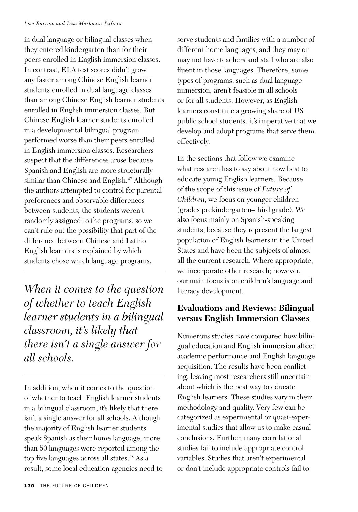in dual language or bilingual classes when they entered kindergarten than for their peers enrolled in English immersion classes. In contrast, ELA test scores didn't grow any faster among Chinese English learner students enrolled in dual language classes than among Chinese English learner students enrolled in English immersion classes. But Chinese English learner students enrolled in a developmental bilingual program performed worse than their peers enrolled in English immersion classes. Researchers suspect that the differences arose because Spanish and English are more structurally similar than Chinese and English.<sup>47</sup> Although the authors attempted to control for parental preferences and observable differences between students, the students weren't randomly assigned to the programs, so we can't rule out the possibility that part of the difference between Chinese and Latino English learners is explained by which students chose which language programs.

*When it comes to the question of whether to teach English learner students in a bilingual classroom, it's likely that there isn't a single answer for all schools.*

In addition, when it comes to the question of whether to teach English learner students in a bilingual classroom, it's likely that there isn't a single answer for all schools. Although the majority of English learner students speak Spanish as their home language, more than 50 languages were reported among the top five languages across all states.<sup>48</sup> As a result, some local education agencies need to serve students and families with a number of different home languages, and they may or may not have teachers and staff who are also fluent in those languages. Therefore, some types of programs, such as dual language immersion, aren't feasible in all schools or for all students. However, as English learners constitute a growing share of US public school students, it's imperative that we develop and adopt programs that serve them effectively.

In the sections that follow we examine what research has to say about how best to educate young English learners. Because of the scope of this issue of *Future of Children*, we focus on younger children (grades prekindergarten–third grade). We also focus mainly on Spanish-speaking students, because they represent the largest population of English learners in the United States and have been the subjects of almost all the current research. Where appropriate, we incorporate other research; however, our main focus is on children's language and literacy development.

# **Evaluations and Reviews: Bilingual versus English Immersion Classes**

Numerous studies have compared how bilingual education and English immersion affect academic performance and English language acquisition. The results have been conflicting, leaving most researchers still uncertain about which is the best way to educate English learners. These studies vary in their methodology and quality. Very few can be categorized as experimental or quasi-experimental studies that allow us to make casual conclusions. Further, many correlational studies fail to include appropriate control variables. Studies that aren't experimental or don't include appropriate controls fail to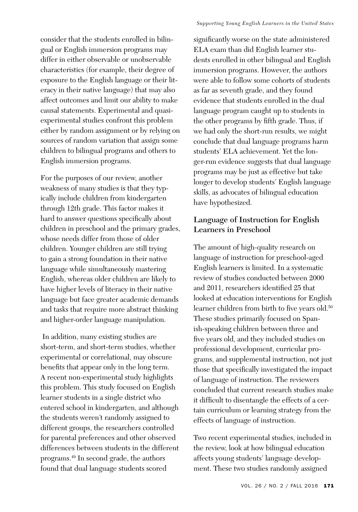consider that the students enrolled in bilingual or English immersion programs may differ in either observable or unobservable characteristics (for example, their degree of exposure to the English language or their literacy in their native language) that may also affect outcomes and limit our ability to make causal statements. Experimental and quasiexperimental studies confront this problem either by random assignment or by relying on sources of random variation that assign some children to bilingual programs and others to English immersion programs.

For the purposes of our review, another weakness of many studies is that they typically include children from kindergarten through 12th grade. This factor makes it hard to answer questions specifically about children in preschool and the primary grades, whose needs differ from those of older children. Younger children are still trying to gain a strong foundation in their native language while simultaneously mastering English, whereas older children are likely to have higher levels of literacy in their native language but face greater academic demands and tasks that require more abstract thinking and higher-order language manipulation.

 In addition, many existing studies are short-term, and short-term studies, whether experimental or correlational, may obscure benefits that appear only in the long term. A recent non-experimental study highlights this problem. This study focused on English learner students in a single district who entered school in kindergarten, and although the students weren't randomly assigned to different groups, the researchers controlled for parental preferences and other observed differences between students in the different programs.49 In second grade, the authors found that dual language students scored

significantly worse on the state administered ELA exam than did English learner students enrolled in other bilingual and English immersion programs. However, the authors were able to follow some cohorts of students as far as seventh grade, and they found evidence that students enrolled in the dual language program caught up to students in the other programs by fifth grade. Thus, if we had only the short-run results, we might conclude that dual language programs harm students' ELA achievement. Yet the longer-run evidence suggests that dual language programs may be just as effective but take longer to develop students' English language skills, as advocates of bilingual education have hypothesized.

# **Language of Instruction for English Learners in Preschool**

The amount of high-quality research on language of instruction for preschool-aged English learners is limited. In a systematic review of studies conducted between 2000 and 2011, researchers identified 25 that looked at education interventions for English learner children from birth to five years old.<sup>50</sup> These studies primarily focused on Spanish-speaking children between three and five years old, and they included studies on professional development, curricular programs, and supplemental instruction, not just those that specifically investigated the impact of language of instruction. The reviewers concluded that current research studies make it difficult to disentangle the effects of a certain curriculum or learning strategy from the effects of language of instruction.

Two recent experimental studies, included in the review, look at how bilingual education affects young students' language development. These two studies randomly assigned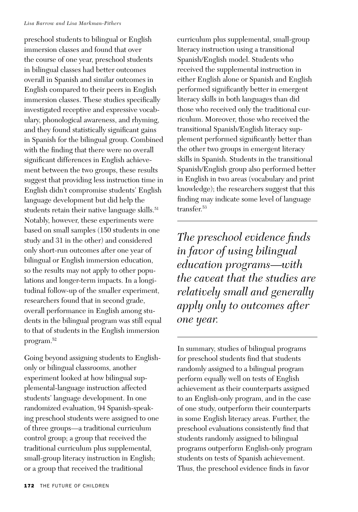preschool students to bilingual or English immersion classes and found that over the course of one year, preschool students in bilingual classes had better outcomes overall in Spanish and similar outcomes in English compared to their peers in English immersion classes. These studies specifically investigated receptive and expressive vocabulary, phonological awareness, and rhyming, and they found statistically significant gains in Spanish for the bilingual group. Combined with the finding that there were no overall significant differences in English achievement between the two groups, these results suggest that providing less instruction time in English didn't compromise students' English language development but did help the students retain their native language skills.<sup>51</sup> Notably, however, these experiments were based on small samples (150 students in one study and 31 in the other) and considered only short-run outcomes after one year of bilingual or English immersion education, so the results may not apply to other populations and longer-term impacts. In a longitudinal follow-up of the smaller experiment, researchers found that in second grade, overall performance in English among students in the bilingual program was still equal to that of students in the English immersion program.52

Going beyond assigning students to Englishonly or bilingual classrooms, another experiment looked at how bilingual supplemental-language instruction affected students' language development. In one randomized evaluation, 94 Spanish-speaking preschool students were assigned to one of three groups—a traditional curriculum control group; a group that received the traditional curriculum plus supplemental, small-group literacy instruction in English; or a group that received the traditional

curriculum plus supplemental, small-group literacy instruction using a transitional Spanish/English model. Students who received the supplemental instruction in either English alone or Spanish and English performed significantly better in emergent literacy skills in both languages than did those who received only the traditional curriculum. Moreover, those who received the transitional Spanish/English literacy supplement performed significantly better than the other two groups in emergent literacy skills in Spanish. Students in the transitional Spanish/English group also performed better in English in two areas (vocabulary and print knowledge); the researchers suggest that this finding may indicate some level of language transfer.<sup>53</sup>

*The preschool evidence finds in favor of using bilingual education programs—with the caveat that the studies are relatively small and generally apply only to outcomes after one year.*

In summary, studies of bilingual programs for preschool students find that students randomly assigned to a bilingual program perform equally well on tests of English achievement as their counterparts assigned to an English-only program, and in the case of one study, outperform their counterparts in some English literacy areas. Further, the preschool evaluations consistently find that students randomly assigned to bilingual programs outperform English-only program students on tests of Spanish achievement. Thus, the preschool evidence finds in favor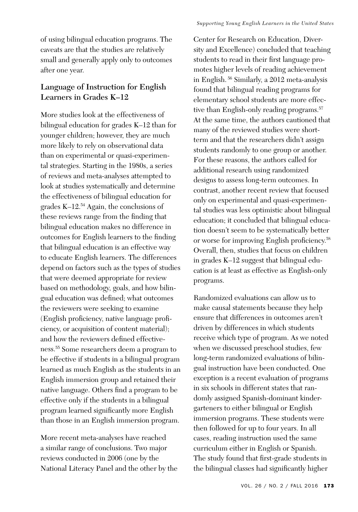of using bilingual education programs. The caveats are that the studies are relatively small and generally apply only to outcomes after one year.

### **Language of Instruction for English Learners in Grades K–12**

More studies look at the effectiveness of bilingual education for grades K–12 than for younger children; however, they are much more likely to rely on observational data than on experimental or quasi-experimental strategies. Starting in the 1980s, a series of reviews and meta-analyses attempted to look at studies systematically and determine the effectiveness of bilingual education for grades K–12.54 Again, the conclusions of these reviews range from the finding that bilingual education makes no difference in outcomes for English learners to the finding that bilingual education is an effective way to educate English learners. The differences depend on factors such as the types of studies that were deemed appropriate for review based on methodology, goals, and how bilingual education was defined; what outcomes the reviewers were seeking to examine (English proficiency, native language proficiency, or acquisition of content material); and how the reviewers defined effectiveness.55 Some researchers deem a program to be effective if students in a bilingual program learned as much English as the students in an English immersion group and retained their native language. Others find a program to be effective only if the students in a bilingual program learned significantly more English than those in an English immersion program.

More recent meta-analyses have reached a similar range of conclusions. Two major reviews conducted in 2006 (one by the National Literacy Panel and the other by the Center for Research on Education, Diversity and Excellence) concluded that teaching students to read in their first language promotes higher levels of reading achievement in English. 56 Similarly, a 2012 meta-analysis found that bilingual reading programs for elementary school students are more effective than English-only reading programs.<sup>57</sup> At the same time, the authors cautioned that many of the reviewed studies were shortterm and that the researchers didn't assign students randomly to one group or another. For these reasons, the authors called for additional research using randomized designs to assess long-term outcomes. In contrast, another recent review that focused only on experimental and quasi-experimental studies was less optimistic about bilingual education; it concluded that bilingual education doesn't seem to be systematically better or worse for improving English proficiency.58 Overall, then, studies that focus on children in grades K–12 suggest that bilingual education is at least as effective as English-only programs.

Randomized evaluations can allow us to make causal statements because they help ensure that differences in outcomes aren't driven by differences in which students receive which type of program. As we noted when we discussed preschool studies, few long-term randomized evaluations of bilingual instruction have been conducted. One exception is a recent evaluation of programs in six schools in different states that randomly assigned Spanish-dominant kindergarteners to either bilingual or English immersion programs. These students were then followed for up to four years. In all cases, reading instruction used the same curriculum either in English or Spanish. The study found that first-grade students in the bilingual classes had significantly higher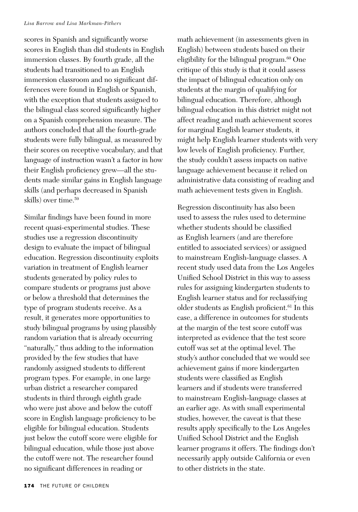scores in Spanish and significantly worse scores in English than did students in English immersion classes. By fourth grade, all the students had transitioned to an English immersion classroom and no significant differences were found in English or Spanish, with the exception that students assigned to the bilingual class scored significantly higher on a Spanish comprehension measure. The authors concluded that all the fourth-grade students were fully bilingual, as measured by their scores on receptive vocabulary, and that language of instruction wasn't a factor in how their English proficiency grew—all the students made similar gains in English language skills (and perhaps decreased in Spanish skills) over time.59

Similar findings have been found in more recent quasi-experimental studies. These studies use a regression discontinuity design to evaluate the impact of bilingual education. Regression discontinuity exploits variation in treatment of English learner students generated by policy rules to compare students or programs just above or below a threshold that determines the type of program students receive. As a result, it generates more opportunities to study bilingual programs by using plausibly random variation that is already occurring "naturally," thus adding to the information provided by the few studies that have randomly assigned students to different program types. For example, in one large urban district a researcher compared students in third through eighth grade who were just above and below the cutoff score in English language proficiency to be eligible for bilingual education. Students just below the cutoff score were eligible for bilingual education, while those just above the cutoff were not. The researcher found no significant differences in reading or

math achievement (in assessments given in English) between students based on their eligibility for the bilingual program.<sup>60</sup> One critique of this study is that it could assess the impact of bilingual education only on students at the margin of qualifying for bilingual education. Therefore, although bilingual education in this district might not affect reading and math achievement scores for marginal English learner students, it might help English learner students with very low levels of English proficiency. Further, the study couldn't assess impacts on native language achievement because it relied on administrative data consisting of reading and math achievement tests given in English.

Regression discontinuity has also been used to assess the rules used to determine whether students should be classified as English learners (and are therefore entitled to associated services) or assigned to mainstream English-language classes. A recent study used data from the Los Angeles Unified School District in this way to assess rules for assigning kindergarten students to English learner status and for reclassifying older students as English proficient.61 In this case, a difference in outcomes for students at the margin of the test score cutoff was interpreted as evidence that the test score cutoff was set at the optimal level. The study's author concluded that we would see achievement gains if more kindergarten students were classified as English learners and if students were transferred to mainstream English-language classes at an earlier age. As with small experimental studies, however, the caveat is that these results apply specifically to the Los Angeles Unified School District and the English learner programs it offers. The findings don't necessarily apply outside California or even to other districts in the state.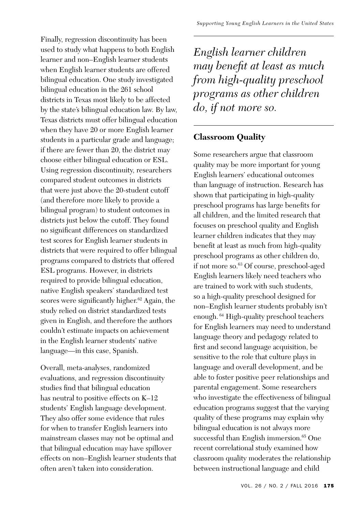Finally, regression discontinuity has been used to study what happens to both English learner and non–English learner students when English learner students are offered bilingual education. One study investigated bilingual education in the 261 school districts in Texas most likely to be affected by the state's bilingual education law. By law, Texas districts must offer bilingual education when they have 20 or more English learner students in a particular grade and language; if there are fewer than 20, the district may choose either bilingual education or ESL. Using regression discontinuity, researchers compared student outcomes in districts that were just above the 20-student cutoff (and therefore more likely to provide a bilingual program) to student outcomes in districts just below the cutoff. They found no significant differences on standardized test scores for English learner students in districts that were required to offer bilingual programs compared to districts that offered ESL programs. However, in districts required to provide bilingual education, native English speakers' standardized test scores were significantly higher.<sup>62</sup> Again, the study relied on district standardized tests given in English, and therefore the authors couldn't estimate impacts on achievement in the English learner students' native language—in this case, Spanish.

Overall, meta-analyses, randomized evaluations, and regression discontinuity studies find that bilingual education has neutral to positive effects on K–12 students' English language development. They also offer some evidence that rules for when to transfer English learners into mainstream classes may not be optimal and that bilingual education may have spillover effects on non–English learner students that often aren't taken into consideration.

*English learner children may benefit at least as much from high-quality preschool programs as other children do, if not more so.*

## **Classroom Quality**

Some researchers argue that classroom quality may be more important for young English learners' educational outcomes than language of instruction. Research has shown that participating in high-quality preschool programs has large benefits for all children, and the limited research that focuses on preschool quality and English learner children indicates that they may benefit at least as much from high-quality preschool programs as other children do, if not more so.63 Of course, preschool-aged English learners likely need teachers who are trained to work with such students, so a high-quality preschool designed for non–English learner students probably isn't enough. 64 High-quality preschool teachers for English learners may need to understand language theory and pedagogy related to first and second language acquisition, be sensitive to the role that culture plays in language and overall development, and be able to foster positive peer relationships and parental engagement. Some researchers who investigate the effectiveness of bilingual education programs suggest that the varying quality of these programs may explain why bilingual education is not always more successful than English immersion.<sup>65</sup> One recent correlational study examined how classroom quality moderates the relationship between instructional language and child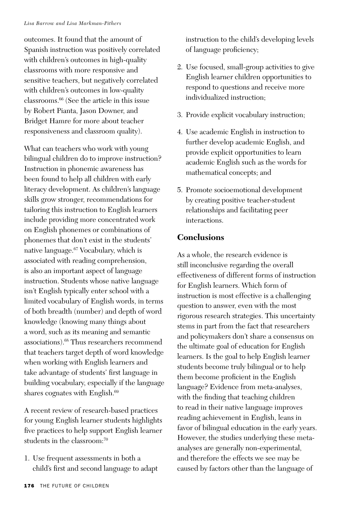outcomes. It found that the amount of Spanish instruction was positively correlated with children's outcomes in high-quality classrooms with more responsive and sensitive teachers, but negatively correlated with children's outcomes in low-quality classrooms.66 (See the article in this issue by Robert Pianta, Jason Downer, and Bridget Hamre for more about teacher responsiveness and classroom quality).

What can teachers who work with young bilingual children do to improve instruction? Instruction in phonemic awareness has been found to help all children with early literacy development. As children's language skills grow stronger, recommendations for tailoring this instruction to English learners include providing more concentrated work on English phonemes or combinations of phonemes that don't exist in the students' native language.67 Vocabulary, which is associated with reading comprehension, is also an important aspect of language instruction. Students whose native language isn't English typically enter school with a limited vocabulary of English words, in terms of both breadth (number) and depth of word knowledge (knowing many things about a word, such as its meaning and semantic associations).68 Thus researchers recommend that teachers target depth of word knowledge when working with English learners and take advantage of students' first language in building vocabulary, especially if the language shares cognates with English.<sup>69</sup>

A recent review of research-based practices for young English learner students highlights five practices to help support English learner students in the classroom:<sup>70</sup>

1. Use frequent assessments in both a child's first and second language to adapt instruction to the child's developing levels of language proficiency;

- 2. Use focused, small-group activities to give English learner children opportunities to respond to questions and receive more individualized instruction;
- 3. Provide explicit vocabulary instruction;
- 4. Use academic English in instruction to further develop academic English, and provide explicit opportunities to learn academic English such as the words for mathematical concepts; and
- 5. Promote socioemotional development by creating positive teacher-student relationships and facilitating peer interactions.

### **Conclusions**

As a whole, the research evidence is still inconclusive regarding the overall effectiveness of different forms of instruction for English learners. Which form of instruction is most effective is a challenging question to answer, even with the most rigorous research strategies. This uncertainty stems in part from the fact that researchers and policymakers don't share a consensus on the ultimate goal of education for English learners. Is the goal to help English learner students become truly bilingual or to help them become proficient in the English language? Evidence from meta-analyses, with the finding that teaching children to read in their native language improves reading achievement in English, leans in favor of bilingual education in the early years. However, the studies underlying these metaanalyses are generally non-experimental, and therefore the effects we see may be caused by factors other than the language of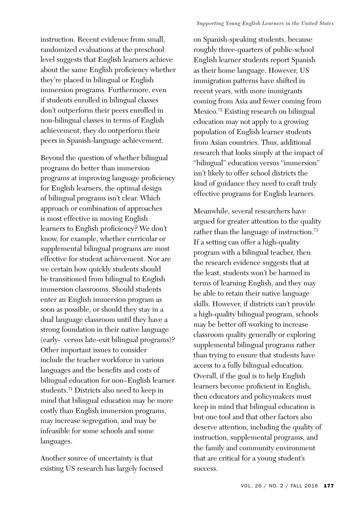instruction. Recent evidence from small, randomized evaluations at the preschool level suggests that English learners achieve about the same English proficiency whether they're placed in bilingual or English immersion programs. Furthermore, even if students enrolled in bilingual classes don't outperform their peers enrolled in non-bilingual classes in terms of English achievement, they do outperform their peers in Spanish-language achievement.

Beyond the question of whether bilingual programs do better than immersion programs at improving language proficiency for English learners, the optimal design of bilingual programs isn't clear. Which approach or combination of approaches is most effective in moving English learners to English proficiency? We don't know, for example, whether curricular or supplemental bilingual programs are most effective for student achievement. Nor are we certain how quickly students should be transitioned from bilingual to English immersion classrooms. Should students enter an English immersion program as soon as possible, or should they stay in a dual language classroom until they have a strong foundation in their native language (early- versus late-exit bilingual programs)? Other important issues to consider include the teacher workforce in various languages and the benefits and costs of bilingual education for non–English learner students.71 Districts also need to keep in mind that bilingual education may be more costly than English immersion programs, may increase segregation, and may be infeasible for some schools and some languages.

Another source of uncertainty is that existing US research has largely focused on Spanish-speaking students, because roughly three-quarters of public-school English learner students report Spanish as their home language. However, US immigration patterns have shifted in recent years, with more immigrants coming from Asia and fewer coming from Mexico.72 Existing research on bilingual education may not apply to a growing population of English learner students from Asian countries. Thus, additional research that looks simply at the impact of "bilingual" education versus "immersion" isn't likely to offer school districts the kind of guidance they need to craft truly effective programs for English learners.

Meanwhile, several researchers have argued for greater attention to the quality rather than the language of instruction.73 If a setting can offer a high-quality program with a bilingual teacher, then the research evidence suggests that at the least, students won't be harmed in terms of learning English, and they may be able to retain their native language skills. However, if districts can't provide a high-quality bilingual program, schools may be better off working to increase classroom quality generally or exploring supplemental bilingual programs rather than trying to ensure that students have access to a fully bilingual education. Overall, if the goal is to help English learners become proficient in English, then educators and policymakers must keep in mind that bilingual education is but one tool and that other factors also deserve attention, including the quality of instruction, supplemental programs, and the family and community environment that are critical for a young student's success.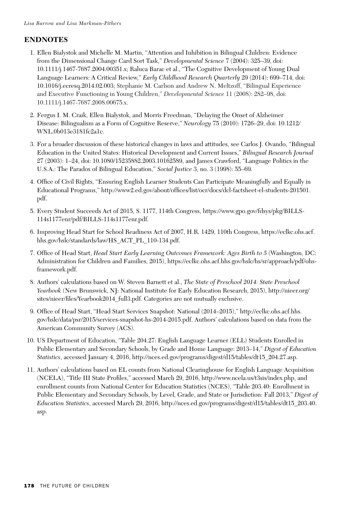### **ENDNOTES**

- 1. Ellen Bialystok and Michelle M. Martin, "Attention and Inhibition in Bilingual Children: Evidence from the Dimensional Change Card Sort Task," *Developmental Science* 7 (2004): 325–39, doi: 10.1111/j.1467-7687.2004.00351.x; Raluca Barac et al., "The Cognitive Development of Young Dual Language Learners: A Critical Review," *Early Childhood Research Quarterly* 29 (2014): 699–714, doi: 10.1016/j.ecresq.2014.02.003; Stephanie M. Carlson and Andrew N. Meltzoff, "Bilingual Experience and Executive Functioning in Young Children," *Developmental Science* 11 (2008): 282–98, doi: 10.1111/j.1467-7687.2008.00675.x.
- 2. Fergus I. M. Craik, Ellen Bialystok, and Morris Freedman, "Delaying the Onset of Alzheimer Disease: Bilingualism as a Form of Cognitive Reserve," *Neurology* 75 (2010): 1726–29, doi: 10.1212/ WNL.0b013e3181fc2a1c.
- 3. For a broader discussion of these historical changes in laws and attitudes, see Carlos J. Ovando, "Bilingual Education in the United States: Historical Development and Current Issues," *Bilingual Research Journal* 27 (2003): 1–24, doi: 10.1080/15235882.2003.10162589, and James Crawford, "Language Politics in the U.S.A.: The Paradox of Bilingual Education," *Social Justice* 3, no. 3 (1998): 55–69.
- 4. Office of Civil Rights, "Ensuring English Learner Students Can Participate Meaningfully and Equally in Educational Programs," http://www2.ed.gov/about/offices/list/ocr/docs/dcl-factsheet-el-students-201501. pdf.
- 5. Every Student Succeeds Act of 2015, S. 1177, 114th Congress, https://www.gpo.gov/fdsys/pkg/BILLS-114s1177enr/pdf/BILLS-114s1177enr.pdf.
- 6. Improving Head Start for School Readiness Act of 2007, H.R. 1429, 110th Congress, https://eclkc.ohs.acf. hhs.gov/hslc/standards/law/HS\_ACT\_PL\_110-134.pdf.
- 7. Office of Head Start, *Head Start Early Learning Outcomes Framework: Ages Birth to 5* (Washington, DC: Administration for Children and Families, 2015), https://eclkc.ohs.acf.hhs.gov/hslc/hs/sr/approach/pdf/ohsframework.pdf.
- 8. Authors' calculations based on W. Steven Barnett et al., *The State of Preschool 2014: State Preschool Yearbook* (New Brunswick, NJ: National Institute for Early Education Research, 2015), http://nieer.org/ sites/nieer/files/Yearbook2014\_full3.pdf. Categories are not mutually exclusive.
- 9. Office of Head Start, "Head Start Services Snapshot: National (2014–2015)," http://eclkc.ohs.acf.hhs. gov/hslc/data/psr/2015/services-snapshot-hs-2014-2015.pdf. Authors' calculations based on data from the American Community Survey (ACS).
- 10. US Department of Education, "Table 204.27: English Language Learner (ELL) Students Enrolled in Public Elementary and Secondary Schools, by Grade and Home Language: 2013–14," *Digest of Education Statistics*, accessed January 4, 2016, http://nces.ed.gov/programs/digest/d15/tables/dt15\_204.27.asp.
- 11. Authors' calculations based on EL counts from National Clearinghouse for English Language Acquisition (NCELA), "Title III State Profiles," accessed March 29, 2016, http://www.ncela.us/t3sis/index.php, and enrollment counts from National Center for Education Statistics (NCES), "Table 203.40: Enrollment in Public Elementary and Secondary Schools, by Level, Grade, and State or Jurisdiction: Fall 2013," *Digest of Education Statistics*, accessed March 29, 2016, http://nces.ed.gov/programs/digest/d15/tables/dt15\_203.40. asp.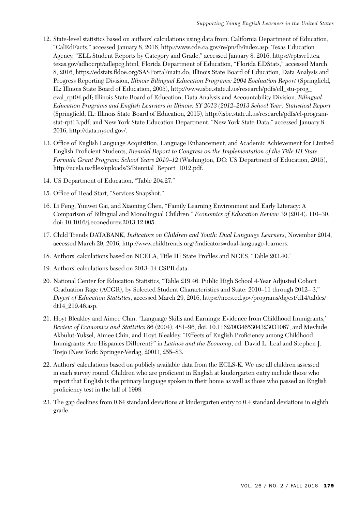- 12. State-level statistics based on authors' calculations using data from: California Department of Education, "CalEdFacts," accessed January 8, 2016, http://www.cde.ca.gov/re/pn/fb/index.asp; Texas Education Agency, "ELL Student Reports by Category and Grade," accessed January 8, 2016, https://rptsvr1.tea. texas.gov/adhocrpt/adlepcg.html; Florida Department of Education, "Florida EDStats," accessed March 8, 2016, https://edstats.fldoe.org/SASPortal/main.do; Illinois State Board of Education, Data Analysis and Progress Reporting Division, *Illinois Bilingual Education Programs: 2004 Evaluation Report* (Springfield, IL: Illinois State Board of Education, 2005), http://www.isbe.state.il.us/research/pdfs/ell\_stu-prog\_ eval\_rpt04.pdf; Illinois State Board of Education, Data Analysis and Accountability Division, *Bilingual Education Programs and English Learners in Illinois: SY 2013 (2012–2013 School Year) Statistical Report*  (Springfield, IL: Illinois State Board of Education, 2015), http://isbe.state.il.us/research/pdfs/el-programstat-rpt13.pdf; and New York State Education Department, "New York State Data," accessed January 8, 2016, http://data.nysed.gov/.
- 13. Office of English Language Acquisition, Language Enhancement, and Academic Achievement for Limited English Proficient Students, *Biennial Report to Congress on the Implementation of the Title III State Formula Grant Program: School Years 2010–12* (Washington, DC: US Department of Education, 2015), http://ncela.us/files/uploads/3/Biennial\_Report\_1012.pdf.
- 14. US Department of Education, "Table 204.27."
- 15. Office of Head Start, "Services Snapshot."
- 16. Li Feng, Yunwei Gai, and Xiaoning Chen, "Family Learning Environment and Early Literacy: A Comparison of Bilingual and Monolingual Children," *Economics of Education Review* 39 (2014): 110–30, doi: 10.1016/j.econedurev.2013.12.005.
- 17. Child Trends DATABANK, *Indicators on Children and Youth: Dual Language Learners*, November 2014, accessed March 29, 2016, http://www.childtrends.org/?indicators=dual-language-learners.
- 18. Authors' calculations based on NCELA, Title III State Profiles and NCES, "Table 203.40."
- 19. Authors' calculations based on 2013–14 CSPR data.
- 20. National Center for Education Statistics, "Table 219.46: Public High School 4-Year Adjusted Cohort Graduation Rage (ACGR), by Selected Student Characteristics and State: 2010–11 through 2012– 3," *Digest of Education Statistics*, accessed March 29, 2016, https://nces.ed.gov/programs/digest/d14/tables/ dt14\_219.46.asp.
- 21. Hoyt Bleakley and Aimee Chin, "Language Skills and Earnings: Evidence from Childhood Immigrants,' *Review of Economics and Statistics* 86 (2004): 481–96, doi: 10.1162/003465304323031067; and Mevlude Akbulut-Yuksel, Aimee Chin, and Hoyt Bleakley, "Effects of English Proficiency among Childhood Immigrants: Are Hispanics Different?" in *Latinos and the Economy*, ed. David L. Leal and Stephen J. Trejo (New York: Springer-Verlag, 2001), 255–83.
- 22. Authors' calculations based on publicly available data from the ECLS-K. We use all children assessed in each survey round. Children who are proficient in English at kindergarten entry include those who report that English is the primary language spoken in their home as well as those who passed an English proficiency test in the fall of 1998.
- 23. The gap declines from 0.64 standard deviations at kindergarten entry to 0.4 standard deviations in eighth grade.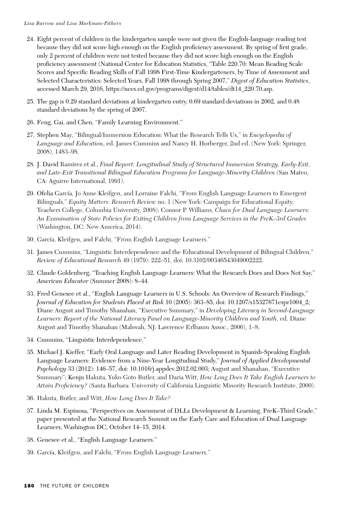- 24. Eight percent of children in the kindergarten sample were not given the English-language reading test because they did not score high enough on the English proficiency assessment. By spring of first grade, only 2 percent of children were not tested because they did not score high enough on the English proficiency assessment (National Center for Education Statistics, "Table 220.70: Mean Reading Scale Scores and Specific Reading Skills of Fall 1998 First-Time Kindergarteners, by Time of Assessment and Selected Characteristics: Selected Years, Fall 1998 through Spring 2007," *Digest of Education Statistics*, accessed March 29, 2016, https://nces.ed.gov/programs/digest/d14/tables/dt14\_220.70.asp.
- 25. The gap is 0.29 standard deviations at kindergarten entry, 0.69 standard deviations in 2002, and 0.48 standard deviations by the spring of 2007.
- 26. Feng, Gai, and Chen, "Family Learning Environment."
- 27. Stephen May, "Bilingual/Immersion Education: What the Research Tells Us," in *Encyclopedia of Language and Education*, ed. James Cummins and Nancy H. Horberger, 2nd ed. (New York: Springer, 2008), 1483–98.
- 28. J. David Ramirez et al., *Final Report: Longitudinal Study of Structured Immersion Strategy, Early-Exit, and Late-Exit Transitional Bilingual Education Programs for Language-Minority Children* (San Mateo, CA: Aguirre International, 1991).
- 29. Ofelia García, Jo Anne Kleifgen, and Lorraine Falchi, "From English Language Learners to Emergent Bilinguals," *Equity Matters: Research Review* no. 1 (New York: Campaign for Educational Equity, Teachers College, Columbia University, 2008); Connor P. Williams, *Chaos for Dual Language Learners: An Examination of State Policies for Exiting Children from Language Services in the PreK–3rd Grades*  (Washington, DC: New America, 2014).
- 30. García, Kleifgen, and Falchi, "From English Language Learners."
- 31. James Cummins, "Linguistic Interdependence and the Educational Development of Bilingual Children," *Review of Educational Research* 49 (1979): 222–51, doi: 10.3102/00346543049002222.
- 32. Claude Goldenberg, "Teaching English Language Learners: What the Research Does and Does Not Say," *American Educator* (Summer 2008): 8–44.
- 33. Fred Genesee et al., "English Language Learners in U.S. Schools: An Overview of Research Findings," *Journal of Education for Students Placed at Risk* 10 (2005): 363–85, doi: 10.1207/s15327671espr1004\_2; Diane August and Timothy Shanahan, "Executive Summary," in *Developing Literacy in Second-Language Learners: Report of the National Literacy Panel on Language-Minority Children and Youth*, ed. Diane August and Timothy Shanahan (Mahwah, NJ: Lawrence Erlbaum Assoc., 2006), 1–8.
- 34. Cummins, "Linguistic Interdependence."
- 35. Michael J. Kieffer, "Early Oral Language and Later Reading Development in Spanish-Speaking English Language Learners: Evidence from a Nine-Year Longitudinal Study," *Journal of Applied Developmental Psychology* 33 (2012): 146–57, doi: 10.1016/j.appdev.2012.02.003; August and Shanahan, "Executive Summary"; Kenju Hakuta, Yuko Goto Butler, and Daria Witt, *How Long Does It Take English Learners to Attain Proficiency?* (Santa Barbara: University of California Linguistic Minority Research Institute, 2000).
- 36. Hakuta, Butler, and Witt, *How Long Does It Take?*
- 37. Linda M. Espinosa, "Perspectives on Assessment of DLLs Development & Learning, PreK–Third Grade," paper presented at the National Research Summit on the Early Care and Education of Dual Language Learners, Washington DC, October 14–15, 2014.
- 38. Genesee et al., "English Language Learners."
- 39. García, Kleifgen, and Falchi, "From English Language Learners."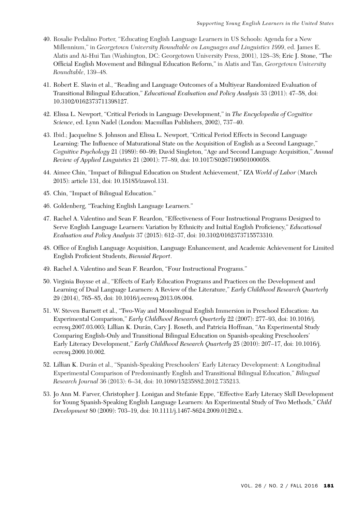- 40. Rosalie Pedalino Porter, "Educating English Language Learners in US Schools: Agenda for a New Millennium," in *Georgetown University Roundtable on Languages and Linguistics 1999*, ed. James E. Alatis and Ai-Hui Tan (Washington, DC: Georgetown University Press, 2001), 128–38; Eric J. Stone, "The Official English Movement and Bilingual Education Reform," in Alatis and Tan, *Georgetown University Roundtable*, 139–48.
- 41. Robert E. Slavin et al., "Reading and Language Outcomes of a Multiyear Randomized Evaluation of Transitional Bilingual Education," *Educational Evaluation and Policy Analysis* 33 (2011): 47–58, doi: 10.3102/0162373711398127.
- 42. Elissa L. Newport, "Critical Periods in Language Development," in *The Encyclopedia of Cognitive Science*, ed. Lynn Nadel (London: Macmillan Publishers, 2002), 737–40.
- 43. Ibid.; Jacqueline S. Johnson and Elissa L. Newport, "Critical Period Effects in Second Language Learning: The Influence of Maturational State on the Acquisition of English as a Second Language," *Cognitive Psychology* 21 (1989): 60–99; David Singleton, "Age and Second Language Acquisition," *Annual Review of Applied Linguistics* 21 (2001): 77–89, doi: 10.1017/S0267190501000058.
- 44. Aimee Chin, "Impact of Bilingual Education on Student Achievement," IZA *World of Labor* (March 2015): article 131, doi: 10.15185/izawol.131.
- 45. Chin, "Impact of Bilingual Education."
- 46. Goldenberg, "Teaching English Language Learners."
- 47. Rachel A. Valentino and Sean F. Reardon, "Effectiveness of Four Instructional Programs Designed to Serve English Language Learners: Variation by Ethnicity and Initial English Proficiency," *Educational Evaluation and Policy Analysis* 37 (2015): 612–37, doi: 10.3102/0162373715573310.
- 48. Office of English Language Acquisition, Language Enhancement, and Academic Achievement for Limited English Proficient Students, *Biennial Report*.
- 49. Rachel A. Valentino and Sean F. Reardon, "Four Instructional Programs."
- 50. Virginia Buysse et al., "Effects of Early Education Programs and Practices on the Development and Learning of Dual Language Learners: A Review of the Literature," *Early Childhood Research Quarterly* 29 (2014), 765–85, doi: 10.1016/j.ecresq.2013.08.004.
- 51. W. Steven Barnett et al., "Two-Way and Monolingual English Immersion in Preschool Education: An Experimental Comparison," *Early Childhood Research Quarterly* 22 (2007): 277–93, doi: 10.1016/j. ecresq.2007.03.003; Lillian K. Durán, Cary J. Roseth, and Patricia Hoffman, "An Experimental Study Comparing English-Only and Transitional Bilingual Education on Spanish-speaking Preschoolers' Early Literacy Development," *Early Childhood Research Quarterly* 25 (2010): 207–17, doi: 10.1016/j. ecresq.2009.10.002.
- 52. Lillian K. Durán et al., "Spanish-Speaking Preschoolers' Early Literacy Development: A Longitudinal Experimental Comparison of Predominantly English and Transitional Bilingual Education," *Bilingual Research Journal* 36 (2013): 6–34, doi: 10.1080/15235882.2012.735213.
- 53. Jo Ann M. Farver, Christopher J. Lonigan and Stefanie Eppe, "Effective Early Literacy Skill Development for Young Spanish-Speaking English Language Learners: An Experimental Study of Two Methods," *Child Development* 80 (2009): 703–19, doi: 10.1111/j.1467-8624.2009.01292.x.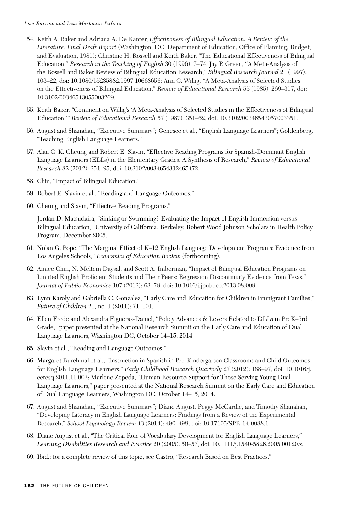- 54. Keith A. Baker and Adriana A. De Kanter, *Effectiveness of Bilingual Education: A Review of the Literature. Final Draft Report* (Washington, DC: Department of Education, Office of Planning, Budget, and Evaluation, 1981); Christine H. Rossell and Keith Baker, "The Educational Effectiveness of Bilingual Education," *Research in the Teaching of English* 30 (1996): 7–74; Jay P. Green, "A Meta-Analysis of the Rossell and Baker Review of Bilingual Education Research," *Bilingual Research Journal* 21 (1997): 103–22, doi: 10.1080/15235882.1997.10668656; Ann C. Willig, "A Meta-Analysis of Selected Studies on the Effectiveness of Bilingual Education," *Review of Educational Research* 55 (1985): 269–317, doi: 10.3102/00346543055003269.
- 55. Keith Baker, "Comment on Willig's 'A Meta-Analysis of Selected Studies in the Effectiveness of Bilingual Education,'" *Review of Educational Research* 57 (1987): 351–62, doi: 10.3102/00346543057003351.
- 56. August and Shanahan, "Executive Summary"; Genesee et al., "English Language Learners"; Goldenberg, "Teaching English Language Learners."
- 57. Alan C. K. Cheung and Robert E. Slavin, "Effective Reading Programs for Spanish-Dominant English Language Learners (ELLs) in the Elementary Grades. A Synthesis of Research," *Review of Educational Research* 82 (2012): 351–95, doi: 10.3102/0034654312465472.
- 58. Chin, "Impact of Bilingual Education."
- 59. Robert E. Slavin et al., "Reading and Language Outcomes."
- 60. Cheung and Slavin, "Effective Reading Programs."

 Jordan D. Matsudaira, "Sinking or Swimming? Evaluating the Impact of English Immersion versus Bilingual Education," University of California, Berkeley, Robert Wood Johnson Scholars in Health Policy Program, December 2005.

- 61. Nolan G. Pope, "The Marginal Effect of K–12 English Language Development Programs: Evidence from Los Angeles Schools," *Economics of Education Review* (forthcoming).
- 62. Aimee Chin, N. Meltem Daysal, and Scott A. Imberman, "Impact of Bilingual Education Programs on Limited English Proficient Students and Their Peers: Regression Discontinuity Evidence from Texas," *Journal of Public Economics* 107 (2013): 63–78, doi: 10.1016/j.jpubeco.2013.08.008.
- 63. Lynn Karoly and Gabriella C. Gonzalez, "Early Care and Education for Children in Immigrant Families," *Future of Children* 21, no. 1 (2011): 71–101.
- 64. Ellen Frede and Alexandra Figueras-Daniel, "Policy Advances & Levers Related to DLLs in PreK–3rd Grade," paper presented at the National Research Summit on the Early Care and Education of Dual Language Learners, Washington DC, October 14–15, 2014.
- 65. Slavin et al., "Reading and Language Outcomes."
- 66. Margaret Burchinal et al., "Instruction in Spanish in Pre-Kindergarten Classrooms and Child Outcomes for English Language Learners," *Early Childhood Research Quarterly* 27 (2012): 188–97, doi: 10.1016/j. ecresq.2011.11.003; Marlene Zepeda, "Human Resource Support for Those Serving Young Dual Language Learners," paper presented at the National Research Summit on the Early Care and Education of Dual Language Learners, Washington DC, October 14–15, 2014.
- 67. August and Shanahan, "Executive Summary"; Diane August, Peggy McCardle, and Timothy Shanahan, "Developing Literacy in English Language Learners: Findings from a Review of the Experimental Research," *School Psychology Review* 43 (2014): 490–498, doi: 10.17105/SPR-14-0088.1.
- 68. Diane August et al., "The Critical Role of Vocabulary Development for English Language Learners," *Learning Disabilities Research and Practice* 20 (2005): 50–57, doi: 10.1111/j.1540-5826.2005.00120.x.
- 69. Ibid.; for a complete review of this topic, see Castro, "Research Based on Best Practices."